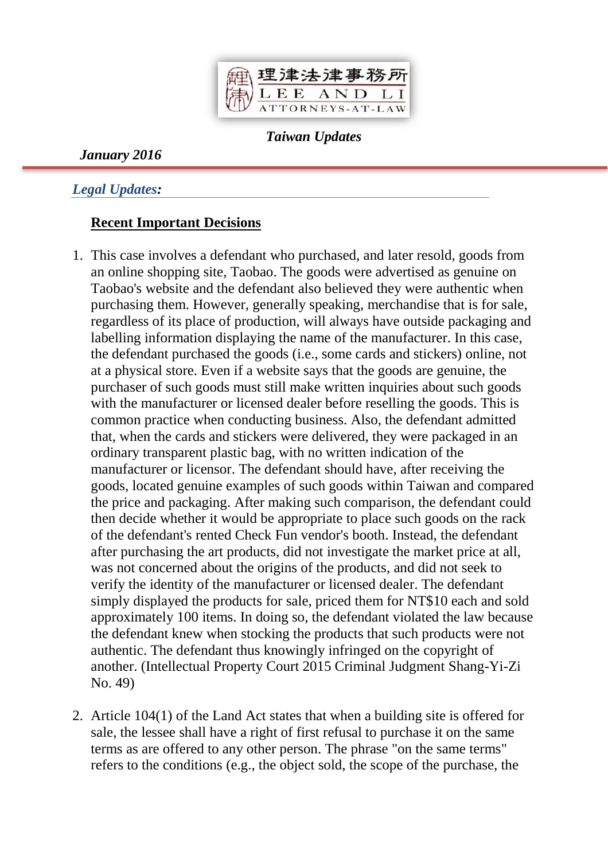

*Taiwan Updates*

*January 2016*

*Legal Updates:*

#### **Recent Important Decisions**

- 1. This case involves a defendant who purchased, and later resold, goods from an online shopping site, Taobao. The goods were advertised as genuine on Taobao's website and the defendant also believed they were authentic when purchasing them. However, generally speaking, merchandise that is for sale, regardless of its place of production, will always have outside packaging and labelling information displaying the name of the manufacturer. In this case, the defendant purchased the goods (i.e., some cards and stickers) online, not at a physical store. Even if a website says that the goods are genuine, the purchaser of such goods must still make written inquiries about such goods with the manufacturer or licensed dealer before reselling the goods. This is common practice when conducting business. Also, the defendant admitted that, when the cards and stickers were delivered, they were packaged in an ordinary transparent plastic bag, with no written indication of the manufacturer or licensor. The defendant should have, after receiving the goods, located genuine examples of such goods within Taiwan and compared the price and packaging. After making such comparison, the defendant could then decide whether it would be appropriate to place such goods on the rack of the defendant's rented Check Fun vendor's booth. Instead, the defendant after purchasing the art products, did not investigate the market price at all, was not concerned about the origins of the products, and did not seek to verify the identity of the manufacturer or licensed dealer. The defendant simply displayed the products for sale, priced them for NT\$10 each and sold approximately 100 items. In doing so, the defendant violated the law because the defendant knew when stocking the products that such products were not authentic. The defendant thus knowingly infringed on the copyright of another. (Intellectual Property Court 2015 Criminal Judgment Shang-Yi-Zi No. 49)
- 2. Article 104(1) of the Land Act states that when a building site is offered for sale, the lessee shall have a right of first refusal to purchase it on the same terms as are offered to any other person. The phrase "on the same terms" refers to the conditions (e.g., the object sold, the scope of the purchase, the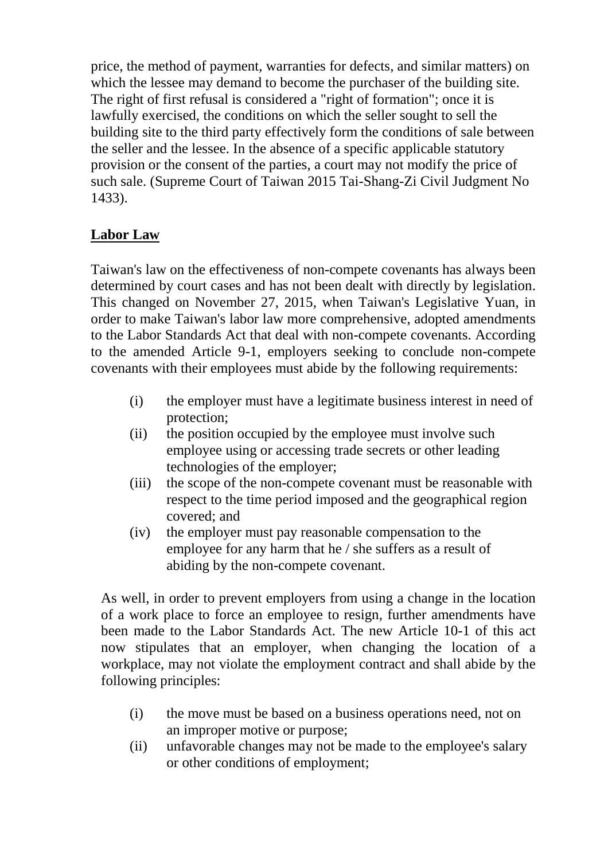price, the method of payment, warranties for defects, and similar matters) on which the lessee may demand to become the purchaser of the building site. The right of first refusal is considered a "right of formation"; once it is lawfully exercised, the conditions on which the seller sought to sell the building site to the third party effectively form the conditions of sale between the seller and the lessee. In the absence of a specific applicable statutory provision or the consent of the parties, a court may not modify the price of such sale. (Supreme Court of Taiwan 2015 Tai-Shang-Zi Civil Judgment No 1433).

# **Labor Law**

Taiwan's law on the effectiveness of non-compete covenants has always been determined by court cases and has not been dealt with directly by legislation. This changed on November 27, 2015, when Taiwan's Legislative Yuan, in order to make Taiwan's labor law more comprehensive, adopted amendments to the Labor Standards Act that deal with non-compete covenants. According to the amended Article 9-1, employers seeking to conclude non-compete covenants with their employees must abide by the following requirements:

- (i) the employer must have a legitimate business interest in need of protection;
- (ii) the position occupied by the employee must involve such employee using or accessing trade secrets or other leading technologies of the employer;
- (iii) the scope of the non-compete covenant must be reasonable with respect to the time period imposed and the geographical region covered; and
- (iv) the employer must pay reasonable compensation to the employee for any harm that he / she suffers as a result of abiding by the non-compete covenant.

As well, in order to prevent employers from using a change in the location of a work place to force an employee to resign, further amendments have been made to the Labor Standards Act. The new Article 10-1 of this act now stipulates that an employer, when changing the location of a workplace, may not violate the employment contract and shall abide by the following principles:

- (i) the move must be based on a business operations need, not on an improper motive or purpose;
- (ii) unfavorable changes may not be made to the employee's salary or other conditions of employment;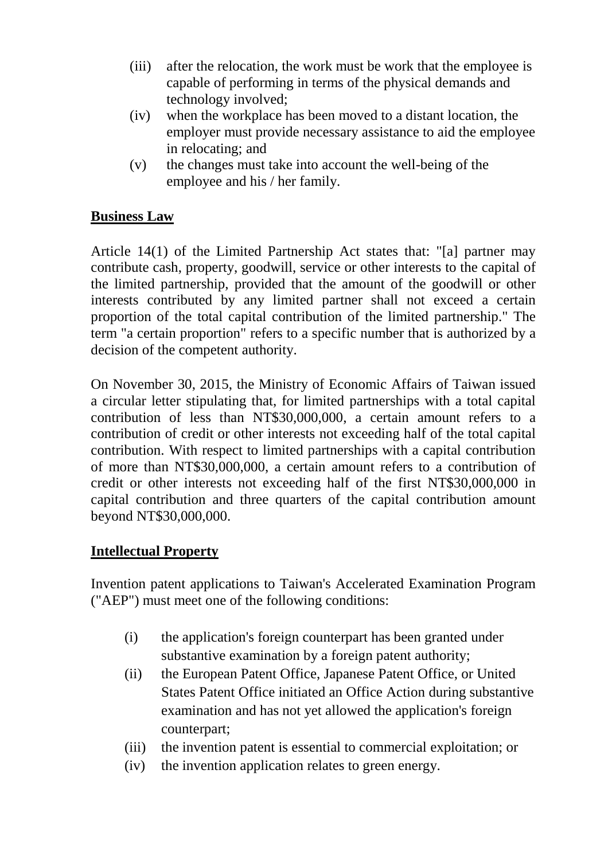- (iii) after the relocation, the work must be work that the employee is capable of performing in terms of the physical demands and technology involved;
- (iv) when the workplace has been moved to a distant location, the employer must provide necessary assistance to aid the employee in relocating; and
- (v) the changes must take into account the well-being of the employee and his / her family.

# **Business Law**

Article 14(1) of the Limited Partnership Act states that: "[a] partner may contribute cash, property, goodwill, service or other interests to the capital of the limited partnership, provided that the amount of the goodwill or other interests contributed by any limited partner shall not exceed a certain proportion of the total capital contribution of the limited partnership." The term "a certain proportion" refers to a specific number that is authorized by a decision of the competent authority.

On November 30, 2015, the Ministry of Economic Affairs of Taiwan issued a circular letter stipulating that, for limited partnerships with a total capital contribution of less than NT\$30,000,000, a certain amount refers to a contribution of credit or other interests not exceeding half of the total capital contribution. With respect to limited partnerships with a capital contribution of more than NT\$30,000,000, a certain amount refers to a contribution of credit or other interests not exceeding half of the first NT\$30,000,000 in capital contribution and three quarters of the capital contribution amount beyond NT\$30,000,000.

# **Intellectual Property**

Invention patent applications to Taiwan's Accelerated Examination Program ("AEP") must meet one of the following conditions:

- (i) the application's foreign counterpart has been granted under substantive examination by a foreign patent authority;
- (ii) the European Patent Office, Japanese Patent Office, or United States Patent Office initiated an Office Action during substantive examination and has not yet allowed the application's foreign counterpart;
- (iii) the invention patent is essential to commercial exploitation; or
- (iv) the invention application relates to green energy.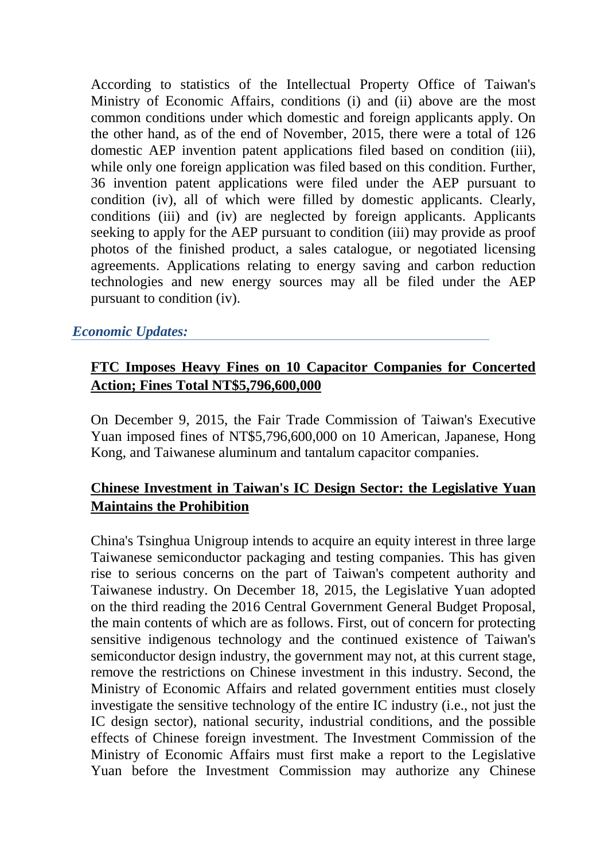According to statistics of the Intellectual Property Office of Taiwan's Ministry of Economic Affairs, conditions (i) and (ii) above are the most common conditions under which domestic and foreign applicants apply. On the other hand, as of the end of November, 2015, there were a total of 126 domestic AEP invention patent applications filed based on condition (iii), while only one foreign application was filed based on this condition. Further, 36 invention patent applications were filed under the AEP pursuant to condition (iv), all of which were filled by domestic applicants. Clearly, conditions (iii) and (iv) are neglected by foreign applicants. Applicants seeking to apply for the AEP pursuant to condition (iii) may provide as proof photos of the finished product, a sales catalogue, or negotiated licensing agreements. Applications relating to energy saving and carbon reduction technologies and new energy sources may all be filed under the AEP pursuant to condition (iv).

#### *Economic Updates:*

# **FTC Imposes Heavy Fines on 10 Capacitor Companies for Concerted Action; Fines Total NT\$5,796,600,000**

On December 9, 2015, the Fair Trade Commission of Taiwan's Executive Yuan imposed fines of NT\$5,796,600,000 on 10 American, Japanese, Hong Kong, and Taiwanese aluminum and tantalum capacitor companies.

# **Chinese Investment in Taiwan's IC Design Sector: the Legislative Yuan Maintains the Prohibition**

China's Tsinghua Unigroup intends to acquire an equity interest in three large Taiwanese semiconductor packaging and testing companies. This has given rise to serious concerns on the part of Taiwan's competent authority and Taiwanese industry. On December 18, 2015, the Legislative Yuan adopted on the third reading the 2016 Central Government General Budget Proposal, the main contents of which are as follows. First, out of concern for protecting sensitive indigenous technology and the continued existence of Taiwan's semiconductor design industry, the government may not, at this current stage, remove the restrictions on Chinese investment in this industry. Second, the Ministry of Economic Affairs and related government entities must closely investigate the sensitive technology of the entire IC industry (i.e., not just the IC design sector), national security, industrial conditions, and the possible effects of Chinese foreign investment. The Investment Commission of the Ministry of Economic Affairs must first make a report to the Legislative Yuan before the Investment Commission may authorize any Chinese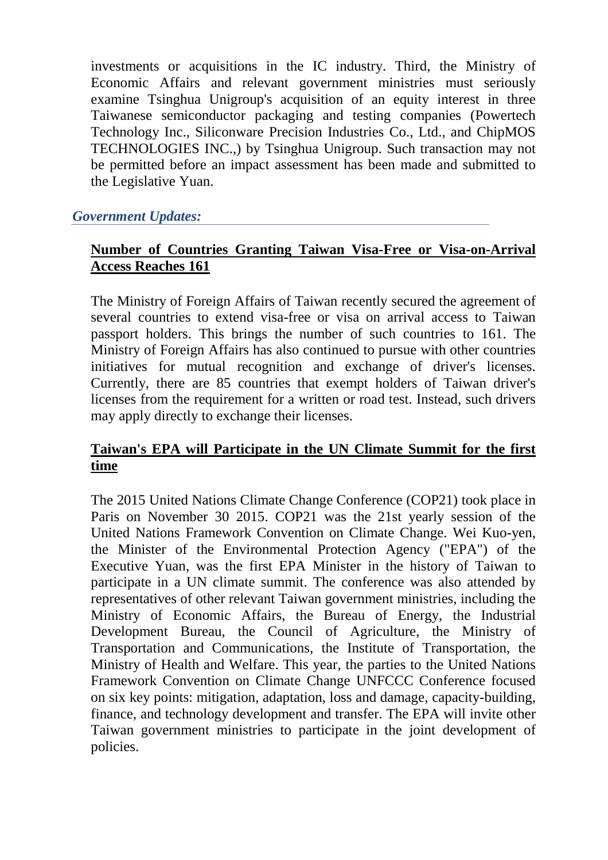investments or acquisitions in the IC industry. Third, the Ministry of Economic Affairs and relevant government ministries must seriously examine Tsinghua Unigroup's acquisition of an equity interest in three Taiwanese semiconductor packaging and testing companies (Powertech Technology Inc., Siliconware Precision Industries Co., Ltd., and ChipMOS TECHNOLOGIES INC.,) by Tsinghua Unigroup. Such transaction may not be permitted before an impact assessment has been made and submitted to the Legislative Yuan.

#### *Government Updates:*

# **Number of Countries Granting Taiwan Visa-Free or Visa-on-Arrival Access Reaches 161**

The Ministry of Foreign Affairs of Taiwan recently secured the agreement of several countries to extend visa-free or visa on arrival access to Taiwan passport holders. This brings the number of such countries to 161. The Ministry of Foreign Affairs has also continued to pursue with other countries initiatives for mutual recognition and exchange of driver's licenses. Currently, there are 85 countries that exempt holders of Taiwan driver's licenses from the requirement for a written or road test. Instead, such drivers may apply directly to exchange their licenses.

#### **Taiwan's EPA will Participate in the UN Climate Summit for the first time**

The 2015 United Nations Climate Change Conference (COP21) took place in Paris on November 30 2015. COP21 was the 21st yearly session of the United Nations Framework Convention on Climate Change. Wei Kuo-yen, the Minister of the Environmental Protection Agency ("EPA") of the Executive Yuan, was the first EPA Minister in the history of Taiwan to participate in a UN climate summit. The conference was also attended by representatives of other relevant Taiwan government ministries, including the Ministry of Economic Affairs, the Bureau of Energy, the Industrial Development Bureau, the Council of Agriculture, the Ministry of Transportation and Communications, the Institute of Transportation, the Ministry of Health and Welfare. This year, the parties to the United Nations Framework Convention on Climate Change UNFCCC Conference focused on six key points: mitigation, adaptation, loss and damage, capacity-building, finance, and technology development and transfer. The EPA will invite other Taiwan government ministries to participate in the joint development of policies.